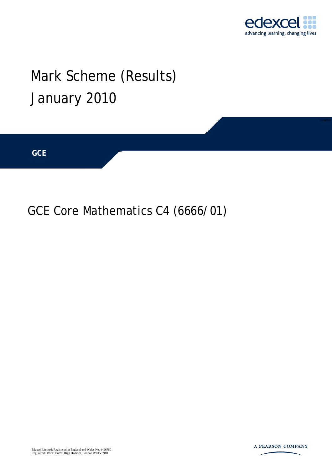

## Mark Scheme (Results) January 2010

**GCE** 

## GCE Core Mathematics C4 (6666/01)

Edexcel Limited. Registered in England and Wales No. 4496750 Registered Office: One90 High Holborn, London WC1V 7BH

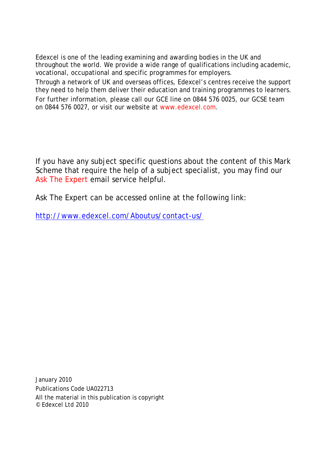Edexcel is one of the leading examining and awarding bodies in the UK and throughout the world. We provide a wide range of qualifications including academic, vocational, occupational and specific programmes for employers.

Through a network of UK and overseas offices, Edexcel's centres receive the support they need to help them deliver their education and training programmes to learners. For further information, please call our GCE line on 0844 576 0025, our GCSE team on 0844 576 0027, or visit our website at www.edexcel.com.

If you have any subject specific questions about the content of this Mark Scheme that require the help of a subject specialist, you may find our Ask The Expert email service helpful.

Ask The Expert can be accessed online at the following link:

http://www.edexcel.com/Aboutus/contact-us/

January 2010 Publications Code UA022713 All the material in this publication is copyright © Edexcel Ltd 2010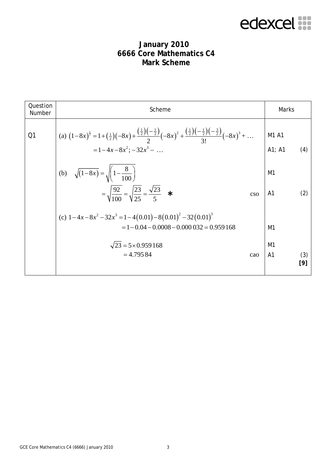## edexcel :::

## **January 2010 6666 Core Mathematics C4 Mark Scheme**

| Question<br>Number | Scheme                                                                                                                                                                                                          | Marks                            |            |
|--------------------|-----------------------------------------------------------------------------------------------------------------------------------------------------------------------------------------------------------------|----------------------------------|------------|
| Q1                 | (a) $(1-8x)^{\frac{1}{2}} = 1 + (\frac{1}{2})(-8x) + \frac{(\frac{1}{2})(-\frac{1}{2})}{2}(-8x)^2 + \frac{(\frac{1}{2})(-\frac{1}{2})(-\frac{3}{2})}{3!}(-8x)^3 + \dots$<br>$= 1 - 4x - 8x^{2}$ ; $-32x^{3} - $ | M1 A1<br>A1; A1                  | (4)        |
|                    | (b) $\sqrt{(1-8x)} = \sqrt{\left(1-\frac{8}{100}\right)}$                                                                                                                                                       | M <sub>1</sub>                   |            |
|                    | $=\sqrt{\frac{92}{100}} = \sqrt{\frac{23}{25}} = \frac{\sqrt{23}}{5}$ *<br>$\cos$                                                                                                                               | A <sub>1</sub>                   | (2)        |
|                    | (c) $1-4x-8x^2-32x^3=1-4(0.01)-8(0.01)^2-32(0.01)^3$                                                                                                                                                            |                                  |            |
|                    | $= 1 - 0.04 - 0.0008 - 0.000032 = 0.959168$                                                                                                                                                                     | M <sub>1</sub>                   |            |
|                    | $\sqrt{23}$ = 5 × 0.959 168<br>$= 4.79584$<br>cao                                                                                                                                                               | M <sub>1</sub><br>A <sub>1</sub> | (3)<br>[9] |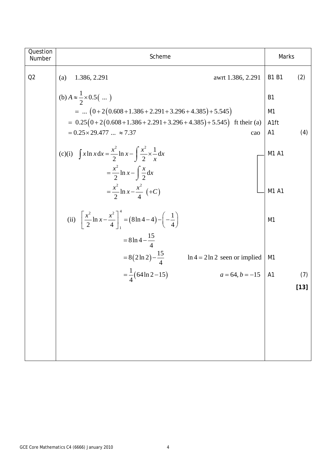| Question<br>Number | Scheme                                                                                                | Marks            |        |
|--------------------|-------------------------------------------------------------------------------------------------------|------------------|--------|
| Q2                 | 1.386, 2.291<br>awrt 1.386, 2.291<br>(a)                                                              | <b>B1 B1</b>     | (2)    |
|                    | (b) $A \approx \frac{1}{2} \times 0.5$ ()                                                             | B <sub>1</sub>   |        |
|                    | $=$ $(0+2(0.608+1.386+2.291+3.296+4.385)+5.545)$                                                      | M <sub>1</sub>   |        |
|                    | $= 0.25(0+2(0.608+1.386+2.291+3.296+4.385)+5.545)$ ft their (a)                                       | A <sub>1ft</sub> |        |
|                    | $= 0.25 \times 29.477  \approx 7.37$<br>cao                                                           | A <sub>1</sub>   | (4)    |
|                    | (c)(i) $\int x \ln x dx = \frac{x^2}{2} \ln x - \int \frac{x^2}{2} \times \frac{1}{x} dx$             | M1 A1            |        |
|                    | $=\frac{x^2}{2} \ln x - \int \frac{x}{2} dx$<br>$=\frac{x^2}{2} \ln x - \frac{x^2}{4} (+C)$           | M1 A1            |        |
|                    | (ii) $\left[\frac{x^2}{2}\ln x - \frac{x^2}{4}\right]_1^4 = (8\ln 4 - 4) - \left(-\frac{1}{4}\right)$ | M1               |        |
|                    | $= 8 \ln 4 - \frac{15}{4}$                                                                            |                  |        |
|                    | $= 8(2 \ln 2) - \frac{15}{4}$<br>$\ln 4 = 2 \ln 2$ seen or implied                                    | M1               |        |
|                    | $=\frac{1}{4}(64 \ln 2 - 15)$<br>$a = 64, b = -15$                                                    | A <sub>1</sub>   | (7)    |
|                    |                                                                                                       |                  | $[13]$ |
|                    |                                                                                                       |                  |        |
|                    |                                                                                                       |                  |        |
|                    |                                                                                                       |                  |        |
|                    |                                                                                                       |                  |        |
|                    |                                                                                                       |                  |        |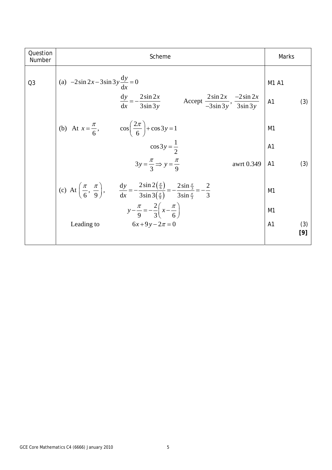| Question<br>Number | Scheme                                                                                                                                                                                                                                                                 | Marks                                  |            |
|--------------------|------------------------------------------------------------------------------------------------------------------------------------------------------------------------------------------------------------------------------------------------------------------------|----------------------------------------|------------|
| Q <sub>3</sub>     | (a) $-2\sin 2x - 3\sin 3y \frac{dy}{dx} = 0$<br>$\frac{dy}{dx} = -\frac{2\sin 2x}{3\sin 3y}$<br>Accept $\frac{2\sin 2x}{-3\sin 3y}$ , $\frac{2\sin 2x}{x}$<br>$-2\sin 2x$<br>$\frac{244424}{3 \sin 3y}$                                                                | M1 A1<br>A1                            | (3)        |
|                    | (b) At $x = \frac{\pi}{6}$ , $\cos\left(\frac{2\pi}{6}\right) + \cos 3y = 1$<br>$\cos 3y = \frac{1}{2}$<br>$3y = \frac{\pi}{3} \Rightarrow y = \frac{\pi}{9}$<br>awrt 0.349                                                                                            | M <sub>1</sub><br>A <sub>1</sub><br>A1 | (3)        |
|                    | (c) At $\left(\frac{\pi}{6}, \frac{\pi}{9}\right)$ , $\frac{dy}{dx} = -\frac{2\sin 2(\frac{\pi}{6})}{3\sin 3(\frac{\pi}{9})} = -\frac{2\sin \frac{\pi}{3}}{3\sin \frac{\pi}{3}} = -\frac{2}{3}$<br>$y - \frac{\pi}{9} = -\frac{2}{3} \left( x - \frac{\pi}{6} \right)$ | M <sub>1</sub><br>M <sub>1</sub>       |            |
|                    | $6x+9y-2\pi=0$<br>Leading to                                                                                                                                                                                                                                           | A <sub>1</sub>                         | (3)<br>[9] |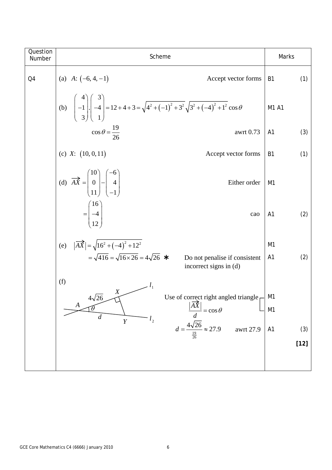| Question<br>Number | Scheme                                                                                                                                                                                                                                                             | Marks                                       |
|--------------------|--------------------------------------------------------------------------------------------------------------------------------------------------------------------------------------------------------------------------------------------------------------------|---------------------------------------------|
| Q <sub>4</sub>     | (a) A: $(-6, 4, -1)$<br>Accept vector forms                                                                                                                                                                                                                        | B <sub>1</sub><br>(1)                       |
|                    | (b) $\begin{pmatrix} 4 \\ -1 \\ 3 \end{pmatrix} \cdot \begin{pmatrix} 3 \\ -4 \\ 1 \end{pmatrix} = 12 + 4 + 3 = \sqrt{4^2 + (-1)^2 + 3^2} \sqrt{3^2 + (-4)^2 + 1^2} \cos \theta$                                                                                   | M1 A1                                       |
|                    | $\cos \theta = \frac{19}{26}$<br>awrt 0.73                                                                                                                                                                                                                         | A <sub>1</sub><br>(3)                       |
|                    | (c) $X: (10, 0, 11)$<br>Accept vector forms                                                                                                                                                                                                                        | <b>B1</b><br>(1)                            |
|                    | (d) $\overrightarrow{AX} = \begin{pmatrix} 10 \\ 0 \\ 11 \end{pmatrix} - \begin{pmatrix} -6 \\ 4 \\ -1 \end{pmatrix}$<br>Either order                                                                                                                              | M <sub>1</sub>                              |
|                    | $=\begin{pmatrix} 16 \\ -4 \end{pmatrix}$<br>cao                                                                                                                                                                                                                   | A <sub>1</sub><br>(2)                       |
|                    | (e) $ \overrightarrow{AX}  = \sqrt{16^2 + (-4)^2 + 12^2}$<br>$=\sqrt{416} = \sqrt{16 \times 26} = 4\sqrt{26}$ *<br>Do not penalise if consistent<br>incorrect signs in (d)<br>(f)                                                                                  | M <sub>1</sub><br>A1<br>(2)                 |
|                    | $X_{\mathcal{I}}$<br>$4\sqrt{26}$<br>Use of correct right angled triangle<br>$\frac{ \overrightarrow{AX} }{d} = \cos \theta$<br>$d = \frac{4\sqrt{26}}{\frac{19}{26}} \approx 27.9$ awrt 27.9<br>$\boldsymbol{d}$<br>l <sub>2</sub><br>$\overline{Y}$<br>awrt 27.9 | M1<br>M <sub>1</sub><br>A1<br>(3)<br>$[12]$ |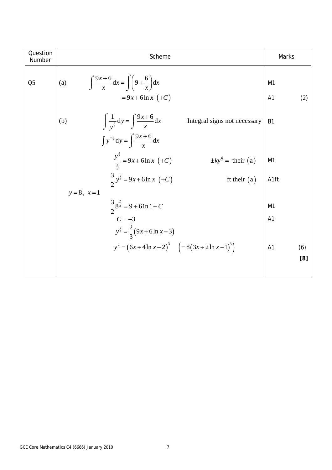| Question<br>Number | Scheme                                                                                                                                                     | Marks                |            |
|--------------------|------------------------------------------------------------------------------------------------------------------------------------------------------------|----------------------|------------|
| Q <sub>5</sub>     | $\int \frac{9x+6}{x} dx = \int \left(9+\frac{6}{x}\right) dx$<br>(a)<br>$= 9x + 6 \ln x (+C)$                                                              | M1<br>A <sub>1</sub> | (2)        |
|                    | $\int \frac{1}{y^{\frac{1}{3}}} dy = \int \frac{9x+6}{x} dx$<br>(b)<br>Integral signs not necessary<br>$\int y^{-\frac{1}{3}} dy = \int \frac{9x+6}{x} dx$ | <b>B1</b>            |            |
|                    | $\frac{y^{\frac{2}{3}}}{\frac{2}{3}}$ = 9x + 6ln x (+C)<br>$\pm ky^{\frac{2}{3}}$ = their (a)                                                              | M <sub>1</sub>       |            |
|                    | $\frac{3}{2}y^{\frac{2}{3}} = 9x + 6\ln x$ (+C)<br>ft their $(a)$<br>$y = 8, x = 1$                                                                        | A <sub>1ft</sub>     |            |
|                    | $\frac{3}{2}8^{\frac{2}{3}} = 9 + 6\ln 1 + C$                                                                                                              | M <sub>1</sub>       |            |
|                    | $C = -3$<br>$y^{\frac{2}{3}} = \frac{2}{3}(9x+6\ln x-3)$                                                                                                   | A <sub>1</sub>       |            |
|                    | $y^{2} = (6x + 4 \ln x - 2)^{3}$ $\left( = 8(3x + 2 \ln x - 1)^{3} \right)$                                                                                | A <sub>1</sub>       | (6)<br>[8] |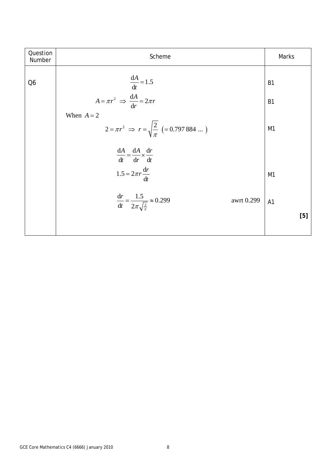| Question<br>Number | Scheme                                                                                               | Marks          |
|--------------------|------------------------------------------------------------------------------------------------------|----------------|
| Q <sub>6</sub>     | $\frac{dA}{dt} = 1.5$                                                                                | <b>B1</b>      |
|                    | $A = \pi r^2 \implies \frac{dA}{dr} = 2\pi r$                                                        | <b>B1</b>      |
|                    | When $A = 2$<br>$2 = \pi r^2 \implies r = \sqrt{\frac{2}{\pi}} (-0.797884 )$                         | M <sub>1</sub> |
|                    | $\frac{dA}{dt} = \frac{dA}{dr} \times \frac{dr}{dt}$                                                 |                |
|                    | $1.5 = 2\pi r \frac{dr}{dt}$                                                                         | M1             |
|                    | $\frac{\mathrm{d}r}{\mathrm{d}t} = \frac{1.5}{2\pi\sqrt{\frac{2}{\pi}}} \approx 0.299$<br>awrt 0.299 | A1             |
|                    |                                                                                                      | [5]            |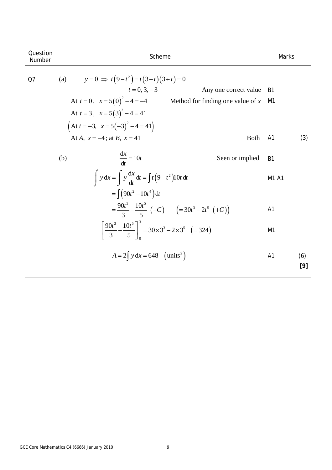| Question<br>Number | Scheme                                                                                                                                                              | Marks                        |  |
|--------------------|---------------------------------------------------------------------------------------------------------------------------------------------------------------------|------------------------------|--|
| Q7                 | (a) $y=0 \Rightarrow t(9-t^2) = t(3-t)(3+t) = 0$<br>$t = 0, 3, -3$<br>Any one correct value<br>At $t = 0$ , $x = 5(0)^2 - 4 = -4$ Method for finding one value of x | <b>B1</b><br>M <sub>1</sub>  |  |
|                    | At $t = 3$ , $x = 5(3)^2 - 4 = 41$<br>$\left(\text{At } t = -3, \ x = 5 \left(-3\right)^2 - 4 = 41\right)$<br>At A, $x = -4$ ; at B, $x = 41$<br><b>Both</b>        | A <sub>1</sub><br>(3)        |  |
|                    | $\frac{dx}{dt} = 10t$<br>(b)<br>Seen or implied                                                                                                                     | <b>B1</b>                    |  |
|                    | $\int y dx = \int y \frac{dx}{dt} dt = \int t(9-t^2)10t dt$<br>$=\int (90t^2-10t^4) dt$                                                                             | M1 A1                        |  |
|                    | $=\frac{90t^3}{2}-\frac{10t^5}{5}(+C) \qquad \left( =30t^3-2t^5(+C)\right)$                                                                                         | A <sub>1</sub>               |  |
|                    | $\left[\frac{90t^3}{3} - \frac{10t^5}{5}\right]^3 = 30 \times 3^3 - 2 \times 3^5$ (= 324)                                                                           | M1                           |  |
|                    | $A = 2 \int y dx = 648 \text{ (units}^2)$                                                                                                                           | A <sub>1</sub><br>(6)<br>[9] |  |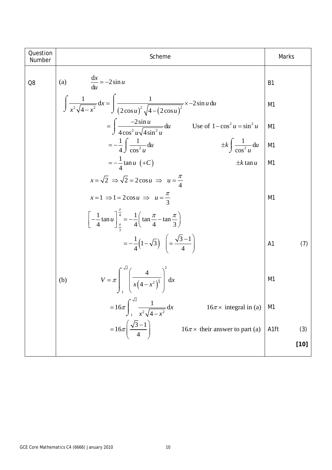| Question<br>Number | Scheme                                                                                                                             | Marks            |        |
|--------------------|------------------------------------------------------------------------------------------------------------------------------------|------------------|--------|
| Q <sub>8</sub>     | (a) $\frac{dx}{du} = -2\sin u$                                                                                                     | B <sub>1</sub>   |        |
|                    | $\int \frac{1}{x^2 \sqrt{4-x^2}} dx = \int \frac{1}{(2 \cos u)^2 \sqrt{4-(2 \cos u)^2}} \times -2 \sin u du$                       | M1               |        |
|                    | $= \int \frac{-2\sin u}{4\cos^2 u \sqrt{4\sin^2 u}} du$ Use of $1-\cos^2 u = \sin^2 u$                                             | M <sub>1</sub>   |        |
|                    | $=-\frac{1}{4}\int \frac{1}{\cos^2 u} du$<br>$\pm k \int \frac{1}{\cos^2 u} du$                                                    | M1               |        |
|                    | $=-\frac{1}{4}$ tan $u\left(+C\right)$<br>$\pm k \tan u$                                                                           | M <sub>1</sub>   |        |
|                    | $x = \sqrt{2} \implies \sqrt{2} = 2\cos u \implies u = \frac{\pi}{4}$                                                              |                  |        |
|                    | $x=1 \implies 1=2\cos u \implies u=\frac{\pi}{3}$                                                                                  | M1               |        |
|                    | $\left[-\frac{1}{4}\tan u\right]_{\frac{\pi}{2}}^{\frac{\pi}{4}} = -\frac{1}{4}\left(\tan\frac{\pi}{4} - \tan\frac{\pi}{3}\right)$ |                  |        |
|                    | $=-\frac{1}{4}(1-\sqrt{3}) \left(=\frac{\sqrt{3}-1}{4}\right)$                                                                     | A <sub>1</sub>   | (7)    |
|                    | $V = \pi \left[ \int_{0}^{\infty} \left( \frac{4}{x(4-x^2)^{\frac{1}{4}}} \right) dx \right]$<br>(b)                               | M <sub>1</sub>   |        |
|                    | $= 16\pi \int_{1}^{\sqrt{2}} \frac{1}{x^2 \sqrt{4-x^2}} dx$<br>$16\pi \times$ integral in (a)                                      | M1               |        |
|                    | $=16\pi\left(\frac{\sqrt{3}-1}{4}\right)$<br>$16\pi \times$ their answer to part (a)                                               | A <sub>1ft</sub> | (3)    |
|                    |                                                                                                                                    |                  | $[10]$ |